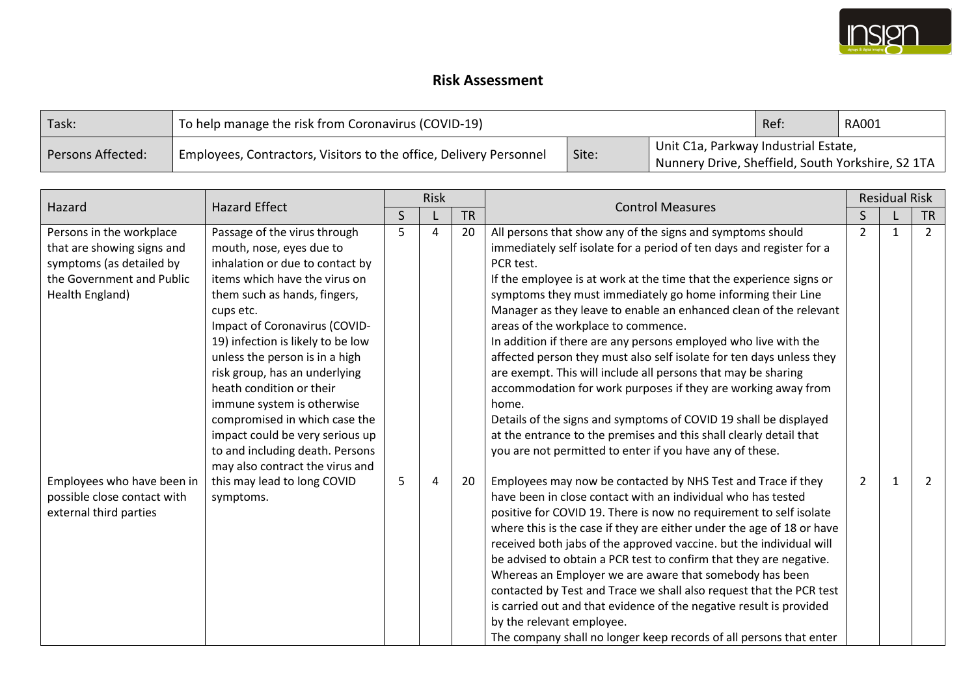

## **Risk Assessment**

| Task:             | To help manage the risk from Coronavirus (COVID-19)                | Ref.  | RA001                                                                                     |  |  |
|-------------------|--------------------------------------------------------------------|-------|-------------------------------------------------------------------------------------------|--|--|
| Persons Affected: | Employees, Contractors, Visitors to the office, Delivery Personnel | Site: | Unit C1a, Parkway Industrial Estate,<br>Nunnery Drive, Sheffield, South Yorkshire, S2 1TA |  |  |

| Hazard                                                                                                                             | <b>Hazard Effect</b>                                                                                                                                                                                                                                                                                                                                                                                                                                                                | Risk         |   |           | <b>Control Measures</b>                                                                                                                                                                                                                                                                                                                                                                                                                                                                                                                                                                                                                                                                                                                                                                                                                                                                       |                | <b>Residual Risk</b> |                |  |
|------------------------------------------------------------------------------------------------------------------------------------|-------------------------------------------------------------------------------------------------------------------------------------------------------------------------------------------------------------------------------------------------------------------------------------------------------------------------------------------------------------------------------------------------------------------------------------------------------------------------------------|--------------|---|-----------|-----------------------------------------------------------------------------------------------------------------------------------------------------------------------------------------------------------------------------------------------------------------------------------------------------------------------------------------------------------------------------------------------------------------------------------------------------------------------------------------------------------------------------------------------------------------------------------------------------------------------------------------------------------------------------------------------------------------------------------------------------------------------------------------------------------------------------------------------------------------------------------------------|----------------|----------------------|----------------|--|
|                                                                                                                                    |                                                                                                                                                                                                                                                                                                                                                                                                                                                                                     | $\mathsf{S}$ |   | <b>TR</b> |                                                                                                                                                                                                                                                                                                                                                                                                                                                                                                                                                                                                                                                                                                                                                                                                                                                                                               |                |                      | <b>TR</b>      |  |
| Persons in the workplace<br>that are showing signs and<br>symptoms (as detailed by<br>the Government and Public<br>Health England) | Passage of the virus through<br>mouth, nose, eyes due to<br>inhalation or due to contact by<br>items which have the virus on<br>them such as hands, fingers,<br>cups etc.<br>Impact of Coronavirus (COVID-<br>19) infection is likely to be low<br>unless the person is in a high<br>risk group, has an underlying<br>heath condition or their<br>immune system is otherwise<br>compromised in which case the<br>impact could be very serious up<br>to and including death. Persons | 5            | 4 | 20        | All persons that show any of the signs and symptoms should<br>immediately self isolate for a period of ten days and register for a<br>PCR test.<br>If the employee is at work at the time that the experience signs or<br>symptoms they must immediately go home informing their Line<br>Manager as they leave to enable an enhanced clean of the relevant<br>areas of the workplace to commence.<br>In addition if there are any persons employed who live with the<br>affected person they must also self isolate for ten days unless they<br>are exempt. This will include all persons that may be sharing<br>accommodation for work purposes if they are working away from<br>home.<br>Details of the signs and symptoms of COVID 19 shall be displayed<br>at the entrance to the premises and this shall clearly detail that<br>you are not permitted to enter if you have any of these. | $\overline{2}$ | 1                    | $\overline{2}$ |  |
| Employees who have been in<br>possible close contact with<br>external third parties                                                | may also contract the virus and<br>this may lead to long COVID<br>symptoms.                                                                                                                                                                                                                                                                                                                                                                                                         | 5            | 4 | 20        | Employees may now be contacted by NHS Test and Trace if they<br>have been in close contact with an individual who has tested<br>positive for COVID 19. There is now no requirement to self isolate<br>where this is the case if they are either under the age of 18 or have<br>received both jabs of the approved vaccine. but the individual will<br>be advised to obtain a PCR test to confirm that they are negative.<br>Whereas an Employer we are aware that somebody has been<br>contacted by Test and Trace we shall also request that the PCR test<br>is carried out and that evidence of the negative result is provided<br>by the relevant employee.<br>The company shall no longer keep records of all persons that enter                                                                                                                                                          | $\overline{2}$ | 1                    | $\overline{2}$ |  |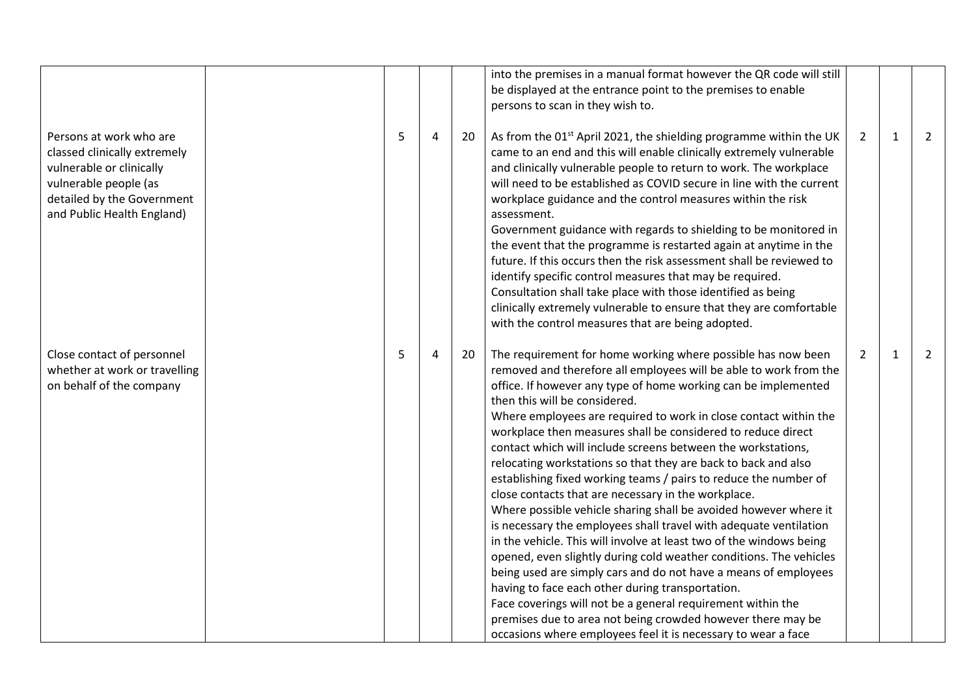|                                                                                                                                                                          |   |   |    | into the premises in a manual format however the QR code will still<br>be displayed at the entrance point to the premises to enable<br>persons to scan in they wish to.                                                                                                                                                                                                                                                                                                                                                                                                                                                                                                                                                                                                                                                                                                                                                                                                                                                                                                                                                                                                                                                                           |                |              |                |
|--------------------------------------------------------------------------------------------------------------------------------------------------------------------------|---|---|----|---------------------------------------------------------------------------------------------------------------------------------------------------------------------------------------------------------------------------------------------------------------------------------------------------------------------------------------------------------------------------------------------------------------------------------------------------------------------------------------------------------------------------------------------------------------------------------------------------------------------------------------------------------------------------------------------------------------------------------------------------------------------------------------------------------------------------------------------------------------------------------------------------------------------------------------------------------------------------------------------------------------------------------------------------------------------------------------------------------------------------------------------------------------------------------------------------------------------------------------------------|----------------|--------------|----------------|
| Persons at work who are<br>classed clinically extremely<br>vulnerable or clinically<br>vulnerable people (as<br>detailed by the Government<br>and Public Health England) | 5 | 4 | 20 | As from the 01 <sup>st</sup> April 2021, the shielding programme within the UK<br>came to an end and this will enable clinically extremely vulnerable<br>and clinically vulnerable people to return to work. The workplace<br>will need to be established as COVID secure in line with the current<br>workplace guidance and the control measures within the risk<br>assessment.<br>Government guidance with regards to shielding to be monitored in<br>the event that the programme is restarted again at anytime in the<br>future. If this occurs then the risk assessment shall be reviewed to<br>identify specific control measures that may be required.<br>Consultation shall take place with those identified as being<br>clinically extremely vulnerable to ensure that they are comfortable<br>with the control measures that are being adopted.                                                                                                                                                                                                                                                                                                                                                                                         | $\overline{2}$ | $\mathbf{1}$ | $\overline{2}$ |
| Close contact of personnel<br>whether at work or travelling<br>on behalf of the company                                                                                  | 5 | 4 | 20 | The requirement for home working where possible has now been<br>removed and therefore all employees will be able to work from the<br>office. If however any type of home working can be implemented<br>then this will be considered.<br>Where employees are required to work in close contact within the<br>workplace then measures shall be considered to reduce direct<br>contact which will include screens between the workstations,<br>relocating workstations so that they are back to back and also<br>establishing fixed working teams / pairs to reduce the number of<br>close contacts that are necessary in the workplace.<br>Where possible vehicle sharing shall be avoided however where it<br>is necessary the employees shall travel with adequate ventilation<br>in the vehicle. This will involve at least two of the windows being<br>opened, even slightly during cold weather conditions. The vehicles<br>being used are simply cars and do not have a means of employees<br>having to face each other during transportation.<br>Face coverings will not be a general requirement within the<br>premises due to area not being crowded however there may be<br>occasions where employees feel it is necessary to wear a face | $\overline{2}$ | $\mathbf{1}$ | $\overline{2}$ |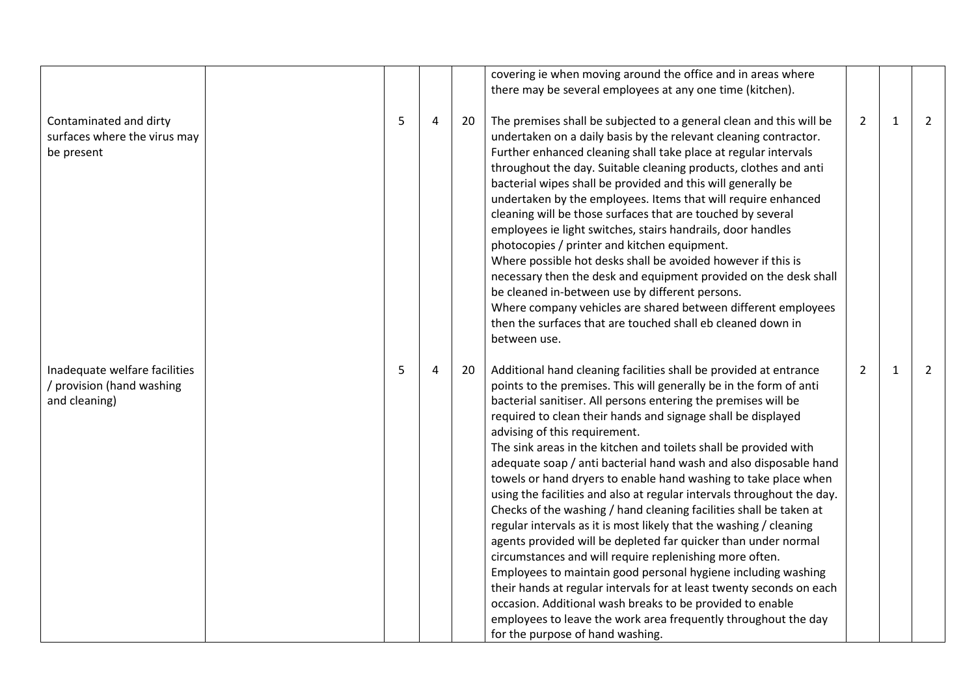|                                                                             |   |   |    | covering ie when moving around the office and in areas where<br>there may be several employees at any one time (kitchen).                                                                                                                                                                                                                                                                                                                                                                                                                                                                                                                                                                                                                                                                                                                                                                                                                                                                                                                                                                                                                                                             |                |              |                |
|-----------------------------------------------------------------------------|---|---|----|---------------------------------------------------------------------------------------------------------------------------------------------------------------------------------------------------------------------------------------------------------------------------------------------------------------------------------------------------------------------------------------------------------------------------------------------------------------------------------------------------------------------------------------------------------------------------------------------------------------------------------------------------------------------------------------------------------------------------------------------------------------------------------------------------------------------------------------------------------------------------------------------------------------------------------------------------------------------------------------------------------------------------------------------------------------------------------------------------------------------------------------------------------------------------------------|----------------|--------------|----------------|
| Contaminated and dirty<br>surfaces where the virus may<br>be present        | 5 | 4 | 20 | The premises shall be subjected to a general clean and this will be<br>undertaken on a daily basis by the relevant cleaning contractor.<br>Further enhanced cleaning shall take place at regular intervals<br>throughout the day. Suitable cleaning products, clothes and anti<br>bacterial wipes shall be provided and this will generally be<br>undertaken by the employees. Items that will require enhanced<br>cleaning will be those surfaces that are touched by several<br>employees ie light switches, stairs handrails, door handles<br>photocopies / printer and kitchen equipment.<br>Where possible hot desks shall be avoided however if this is<br>necessary then the desk and equipment provided on the desk shall<br>be cleaned in-between use by different persons.<br>Where company vehicles are shared between different employees<br>then the surfaces that are touched shall eb cleaned down in<br>between use.                                                                                                                                                                                                                                                  | $\overline{2}$ | $\mathbf{1}$ | $\mathbf{2}$   |
| Inadequate welfare facilities<br>/ provision (hand washing<br>and cleaning) | 5 | 4 | 20 | Additional hand cleaning facilities shall be provided at entrance<br>points to the premises. This will generally be in the form of anti<br>bacterial sanitiser. All persons entering the premises will be<br>required to clean their hands and signage shall be displayed<br>advising of this requirement.<br>The sink areas in the kitchen and toilets shall be provided with<br>adequate soap / anti bacterial hand wash and also disposable hand<br>towels or hand dryers to enable hand washing to take place when<br>using the facilities and also at regular intervals throughout the day.<br>Checks of the washing / hand cleaning facilities shall be taken at<br>regular intervals as it is most likely that the washing / cleaning<br>agents provided will be depleted far quicker than under normal<br>circumstances and will require replenishing more often.<br>Employees to maintain good personal hygiene including washing<br>their hands at regular intervals for at least twenty seconds on each<br>occasion. Additional wash breaks to be provided to enable<br>employees to leave the work area frequently throughout the day<br>for the purpose of hand washing. | $\overline{2}$ | $\mathbf{1}$ | $\overline{2}$ |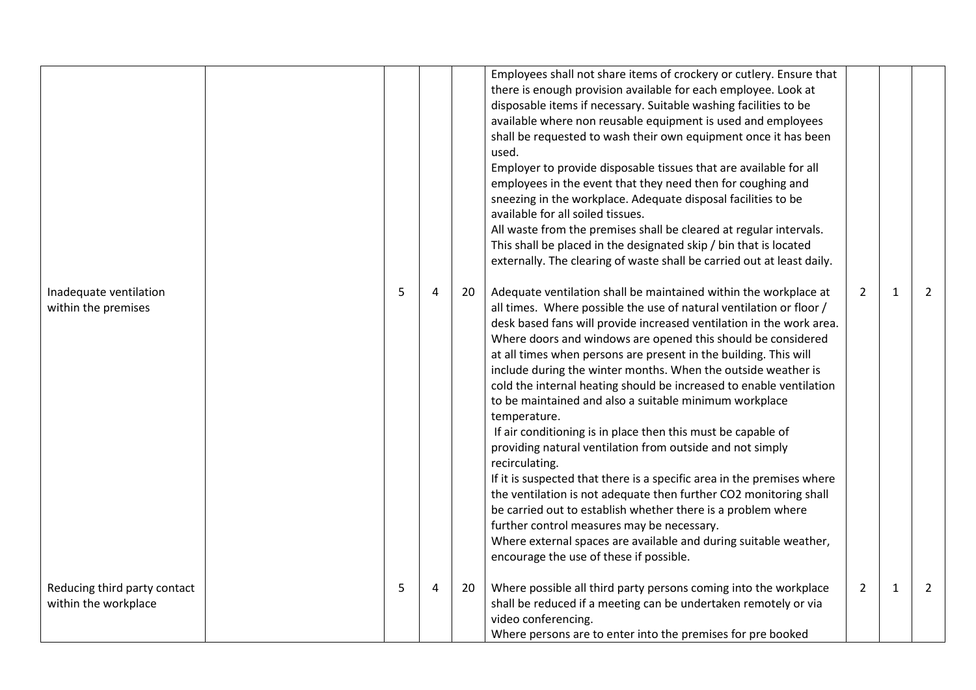|                                                      |   |   |    | Employees shall not share items of crockery or cutlery. Ensure that<br>there is enough provision available for each employee. Look at<br>disposable items if necessary. Suitable washing facilities to be<br>available where non reusable equipment is used and employees<br>shall be requested to wash their own equipment once it has been<br>used.<br>Employer to provide disposable tissues that are available for all<br>employees in the event that they need then for coughing and<br>sneezing in the workplace. Adequate disposal facilities to be<br>available for all soiled tissues.<br>All waste from the premises shall be cleared at regular intervals.<br>This shall be placed in the designated skip / bin that is located<br>externally. The clearing of waste shall be carried out at least daily.                                                                                                                                                                                                                                                                             |                |              |                |
|------------------------------------------------------|---|---|----|--------------------------------------------------------------------------------------------------------------------------------------------------------------------------------------------------------------------------------------------------------------------------------------------------------------------------------------------------------------------------------------------------------------------------------------------------------------------------------------------------------------------------------------------------------------------------------------------------------------------------------------------------------------------------------------------------------------------------------------------------------------------------------------------------------------------------------------------------------------------------------------------------------------------------------------------------------------------------------------------------------------------------------------------------------------------------------------------------|----------------|--------------|----------------|
| Inadequate ventilation<br>within the premises        | 5 | 4 | 20 | Adequate ventilation shall be maintained within the workplace at<br>all times. Where possible the use of natural ventilation or floor /<br>desk based fans will provide increased ventilation in the work area.<br>Where doors and windows are opened this should be considered<br>at all times when persons are present in the building. This will<br>include during the winter months. When the outside weather is<br>cold the internal heating should be increased to enable ventilation<br>to be maintained and also a suitable minimum workplace<br>temperature.<br>If air conditioning is in place then this must be capable of<br>providing natural ventilation from outside and not simply<br>recirculating.<br>If it is suspected that there is a specific area in the premises where<br>the ventilation is not adequate then further CO2 monitoring shall<br>be carried out to establish whether there is a problem where<br>further control measures may be necessary.<br>Where external spaces are available and during suitable weather,<br>encourage the use of these if possible. | $\overline{2}$ | $\mathbf{1}$ | 2              |
| Reducing third party contact<br>within the workplace | 5 | 4 | 20 | Where possible all third party persons coming into the workplace<br>shall be reduced if a meeting can be undertaken remotely or via<br>video conferencing.<br>Where persons are to enter into the premises for pre booked                                                                                                                                                                                                                                                                                                                                                                                                                                                                                                                                                                                                                                                                                                                                                                                                                                                                        | $\overline{2}$ | $\mathbf{1}$ | $\overline{2}$ |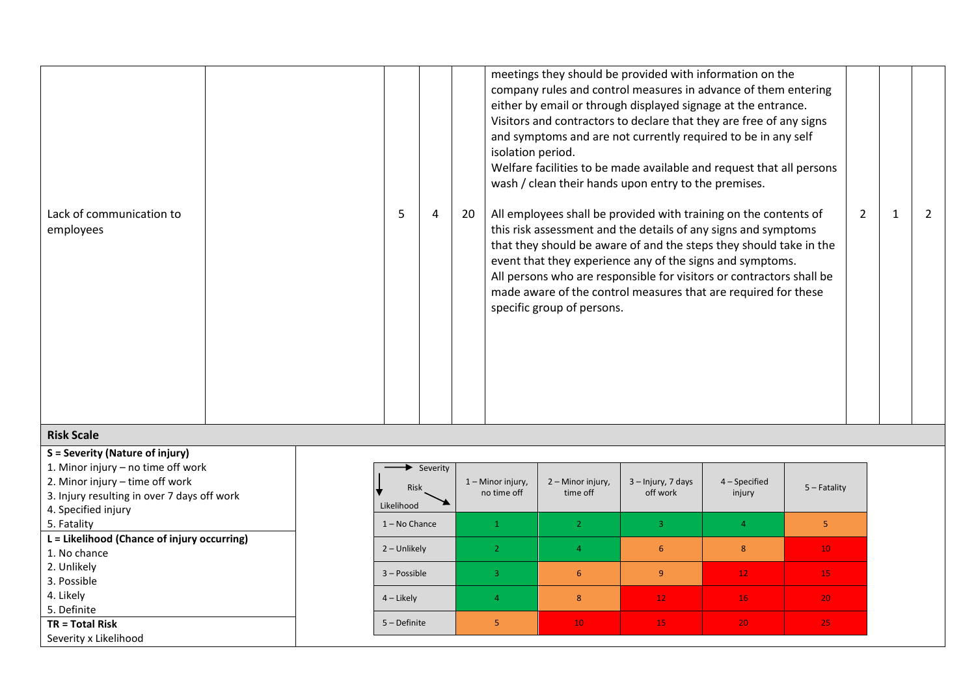|                                       |  |   |    | meetings they should be provided with information on the<br>company rules and control measures in advance of them entering<br>either by email or through displayed signage at the entrance.<br>Visitors and contractors to declare that they are free of any signs<br>and symptoms and are not currently required to be in any self<br>isolation period.<br>Welfare facilities to be made available and request that all persons<br>wash / clean their hands upon entry to the premises. |               |  |
|---------------------------------------|--|---|----|------------------------------------------------------------------------------------------------------------------------------------------------------------------------------------------------------------------------------------------------------------------------------------------------------------------------------------------------------------------------------------------------------------------------------------------------------------------------------------------|---------------|--|
| Lack of communication to<br>employees |  | 4 | 20 | All employees shall be provided with training on the contents of<br>this risk assessment and the details of any signs and symptoms<br>that they should be aware of and the steps they should take in the<br>event that they experience any of the signs and symptoms.<br>All persons who are responsible for visitors or contractors shall be<br>made aware of the control measures that are required for these<br>specific group of persons.                                            | $\mathcal{L}$ |  |

## **Risk Scale**

**S = Severity (Nature of injury)** 1. Minor injury – no time off work 2. Minor injury – time off work 3. Injury resulting in over 7 days off work 4. Specified injury 5. Fatality **L = Likelihood (Chance of injury occurring)** 1. No chance 2. Unlikely 3. Possible 4. Likely 5. Definite **TR = Total Risk** Severity x Likelihood

| Severity<br>Risk<br>Likelihood | 1 - Minor injury,<br>no time off | 2 – Minor injury,<br>time off | 3 - Injury, 7 days<br>off work | 4 - Specified<br>injury | $5 -$ Fatality  |
|--------------------------------|----------------------------------|-------------------------------|--------------------------------|-------------------------|-----------------|
| $1 - No$ Chance                |                                  | $\overline{2}$                | 3                              | $\overline{4}$          | 5               |
| 2 - Unlikely                   | $\overline{2}$                   | 4                             | 6                              | 8                       | 10 <sub>1</sub> |
| 3 - Possible                   | 3                                | $6\phantom{1}6$               | 9                              | 12 <sub>1</sub>         | 15              |
| $4$ – Likely                   | 4                                | 8                             | 12 <sup>°</sup>                | 16                      | 20              |
| $5 -$ Definite                 | 5                                | 10 <sub>1</sub>               | 15                             | 20                      | 25              |